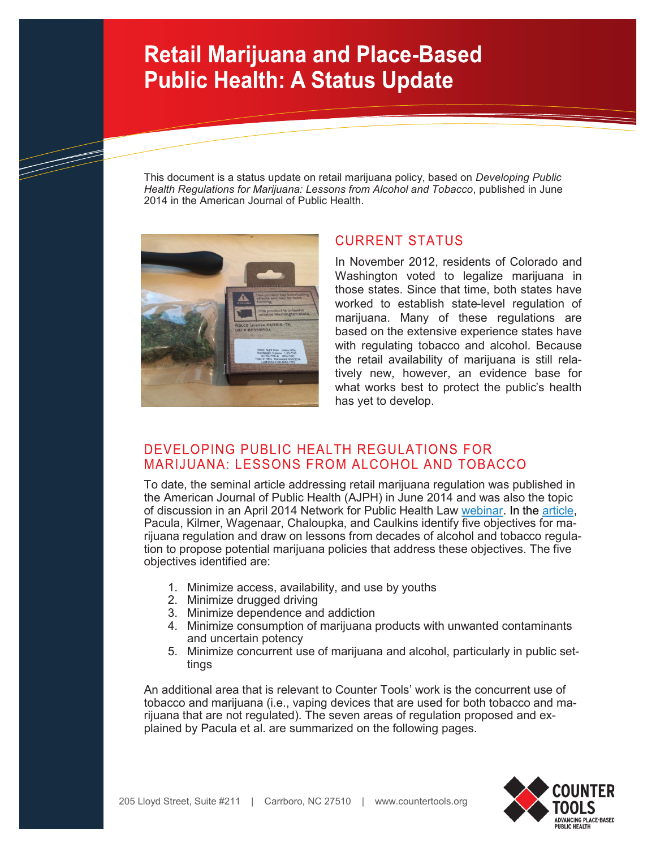This document is a status update on retail marijuana policy, based on *Developing Public Health Regulations for Marijuana: Lessons from Alcohol and Tobacco*, published in June 2014 in the American Journal of Public Health.



#### **CURRENT STATUS**

In November 2012, residents of Colorado and Washington voted to legalize marijuana in those states. Since that time, both states have worked to establish state-level regulation of marijuana. Many of these regulations are based on the extensive experience states have with regulating tobacco and alcohol. Because the retail availability of marijuana is still relatively new, however, an evidence base for what works best to protect the public's health has yet to develop.

#### DEVELOPING PUBLIC HEALTH REGULATIONS FOR MARIJUANA: LESSONS FROM ALCOHOL AND TOBACCO

To date, the seminal article addressing retail marijuana regulation was published in the American Journal of Public Health (AJPH) in June 2014 and was also the topic of discussion in an April 2014 Network for Public Health Law [webinar.](https://www.networkforphl.org/webinars/2014/04/17/421/regulating_non-medical_marijuana_lessons_learned_and_paths_forward) In the [article,](http://ajph.aphapublications.org/doi/abs/10.2105/AJPH.2013.301766)  Pacula, Kilmer, Wagenaar, Chaloupka, and Caulkins identify five objectives for marijuana regulation and draw on lessons from decades of alcohol and tobacco regulation to propose potential marijuana policies that address these objectives. The five objectives identified are:

- 1. Minimize access, availability, and use by youths
- 2. Minimize drugged driving
- 3. Minimize dependence and addiction
- 4. Minimize consumption of marijuana products with unwanted contaminants and uncertain potency
- 5. Minimize concurrent use of marijuana and alcohol, particularly in public settings

An additional area that is relevant to Counter Tools' work is the concurrent use of tobacco and marijuana (i.e., vaping devices that are used for both tobacco and marijuana that are not regulated). The seven areas of regulation proposed and explained by Pacula et al. are summarized on the following pages.

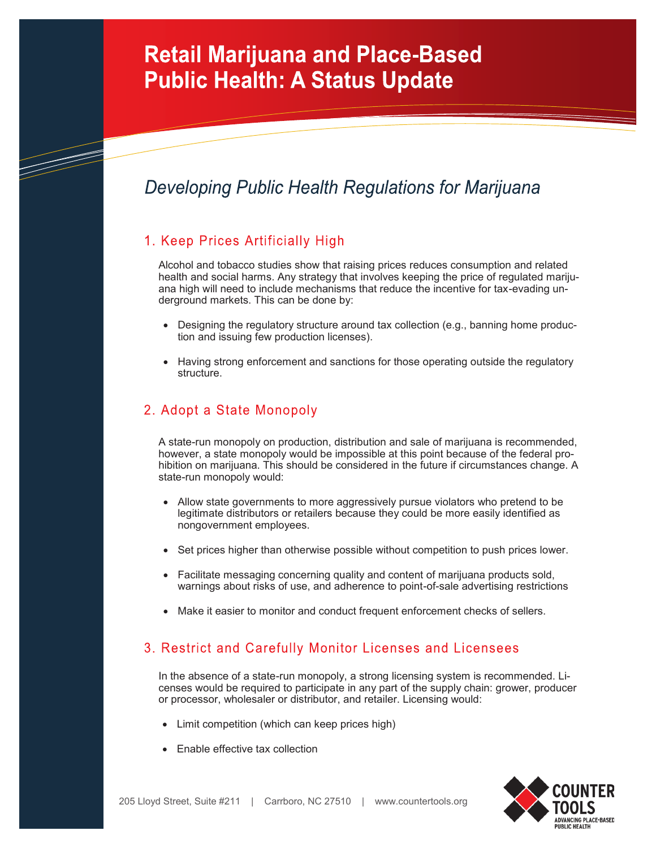## Developing Public Health Regulations for Marijuana

## 1. Keep Prices Artificially High

TIMBER 1979.<br>Fødsler

Alcohol and tobacco studies show that raising prices reduces consumption and related health and social harms. Any strategy that involves keeping the price of regulated marijuana high will need to include mechanisms that reduce the incentive for tax-evading underground markets. This can be done by:

- Designing the regulatory structure around tax collection (e.g., banning home production and issuing few production licenses).
- Having strong enforcement and sanctions for those operating outside the regulatory structure.

## 2. Adopt a State Monopoly

A state-run monopoly on production, distribution and sale of marijuana is recommended, however, a state monopoly would be impossible at this point because of the federal prohibition on marijuana. This should be considered in the future if circumstances change. A state-run monopoly would:

- Allow state governments to more aggressively pursue violators who pretend to be legitimate distributors or retailers because they could be more easily identified as nongovernment employees.
- Set prices higher than otherwise possible without competition to push prices lower.
- Facilitate messaging concerning quality and content of marijuana products sold, warnings about risks of use, and adherence to point-of-sale advertising restrictions
- Make it easier to monitor and conduct frequent enforcement checks of sellers.

## 3. Restrict and Carefully Monitor Licenses and Licensees

In the absence of a state-run monopoly, a strong licensing system is recommended. Licenses would be required to participate in any part of the supply chain: grower, producer or processor, wholesaler or distributor, and retailer. Licensing would:

- Limit competition (which can keep prices high)
- Enable effective tax collection

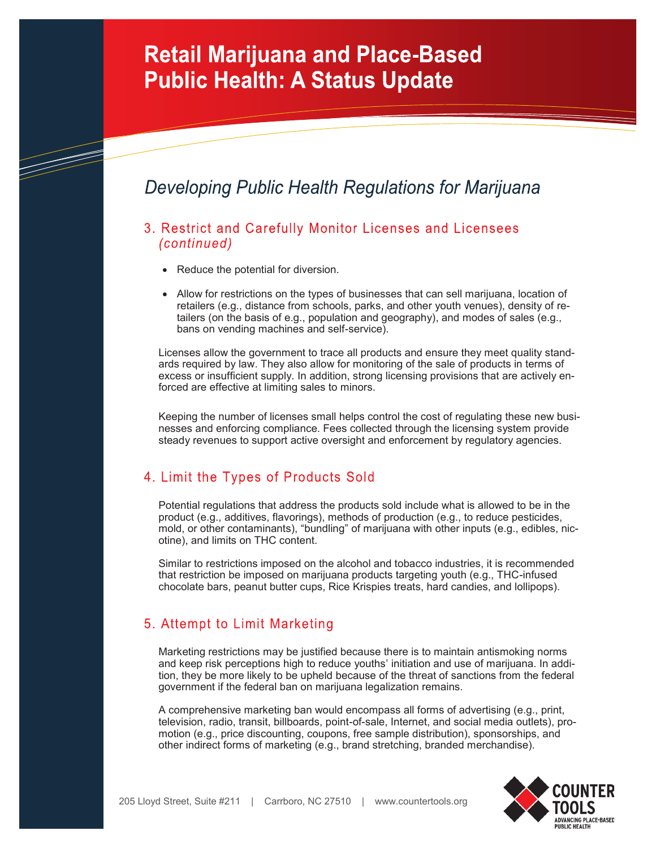## Developing Public Health Regulations for Marijuana

- 3. Restrict and Carefully Monitor Licenses and Licensees (continued)
	- Reduce the potential for diversion.

T

• Allow for restrictions on the types of businesses that can sell marijuana, location of retailers (e.g., distance from schools, parks, and other youth venues), density of retailers (on the basis of e.g., population and geography), and modes of sales (e.g., bans on vending machines and self-service).

Licenses allow the government to trace all products and ensure they meet quality standards required by law. They also allow for monitoring of the sale of products in terms of excess or insufficient supply. In addition, strong licensing provisions that are actively enforced are effective at limiting sales to minors.

Keeping the number of licenses small helps control the cost of regulating these new businesses and enforcing compliance. Fees collected through the licensing system provide steady revenues to support active oversight and enforcement by regulatory agencies.

## 4. Limit the Types of Products Sold

Potential regulations that address the products sold include what is allowed to be in the product (e.g., additives, flavorings), methods of production (e.g., to reduce pesticides, mold, or other contaminants), "bundling" of marijuana with other inputs (e.g., edibles, nicotine), and limits on THC content.

Similar to restrictions imposed on the alcohol and tobacco industries, it is recommended that restriction be imposed on marijuana products targeting youth (e.g., THC-infused chocolate bars, peanut butter cups, Rice Krispies treats, hard candies, and lollipops).

#### 5. Attempt to Limit Marketing

Marketing restrictions may be justified because there is to maintain antismoking norms and keep risk perceptions high to reduce youths' initiation and use of marijuana. In addition, they be more likely to be upheld because of the threat of sanctions from the federal government if the federal ban on marijuana legalization remains.

A comprehensive marketing ban would encompass all forms of advertising (e.g., print, television, radio, transit, billboards, point-of-sale, Internet, and social media outlets), promotion (e.g., price discounting, coupons, free sample distribution), sponsorships, and other indirect forms of marketing (e.g., brand stretching, branded merchandise).

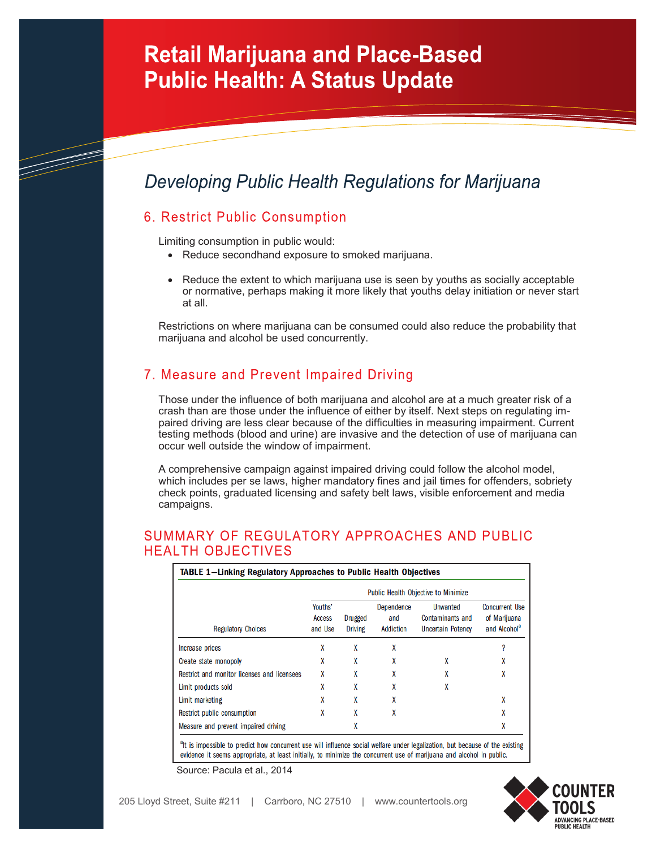## Developing Public Health Regulations for Marijuana

#### 6. Restrict Public Consumption

T

Limiting consumption in public would:

- Reduce secondhand exposure to smoked marijuana.
- Reduce the extent to which marijuana use is seen by youths as socially acceptable or normative, perhaps making it more likely that youths delay initiation or never start at all.

Restrictions on where marijuana can be consumed could also reduce the probability that marijuana and alcohol be used concurrently.

## 7. Measure and Prevent Impaired Driving

Those under the influence of both marijuana and alcohol are at a much greater risk of a crash than are those under the influence of either by itself. Next steps on regulating impaired driving are less clear because of the difficulties in measuring impairment. Current testing methods (blood and urine) are invasive and the detection of use of marijuana can occur well outside the window of impairment.

A comprehensive campaign against impaired driving could follow the alcohol model, which includes per se laws, higher mandatory fines and jail times for offenders, sobriety check points, graduated licensing and safety belt laws, visible enforcement and media campaigns.

#### SUMMARY OF REGULATORY APPROACHES AND PUBLIC **HEAI TH OBJECTIVES**

| <b>Regulatory Choices</b>                   | Public Health Objective to Minimize |                           |                                |                                                          |                                                                   |
|---------------------------------------------|-------------------------------------|---------------------------|--------------------------------|----------------------------------------------------------|-------------------------------------------------------------------|
|                                             | Youths'<br>Access<br>and Use        | Drugged<br><b>Driving</b> | Dependence<br>and<br>Addiction | Unwanted<br>Contaminants and<br><b>Uncertain Potency</b> | <b>Concurrent Use</b><br>of Marijuana<br>and Alcohol <sup>a</sup> |
| Increase prices                             | X                                   | X                         | X                              |                                                          |                                                                   |
| Create state monopoly                       | X                                   | X                         | X                              | X                                                        | X                                                                 |
| Restrict and monitor licenses and licensees | X                                   | X                         | X                              |                                                          | X                                                                 |
| Limit products sold                         | X                                   | X                         | X                              | X                                                        |                                                                   |
| Limit marketing                             | X                                   | X                         | X                              |                                                          | χ                                                                 |
| Restrict public consumption                 | X                                   | X                         | X                              |                                                          | X                                                                 |
| Measure and prevent impaired driving        |                                     | X                         |                                |                                                          | X                                                                 |

<sup>a</sup>lt is impossible to predict how concurrent use will influence social welfare under legalization, but because of the existing evidence it seems appropriate, at least initially, to minimize the concurrent use of marijuana and alcohol in public.



Source: Pacula et al., 2014